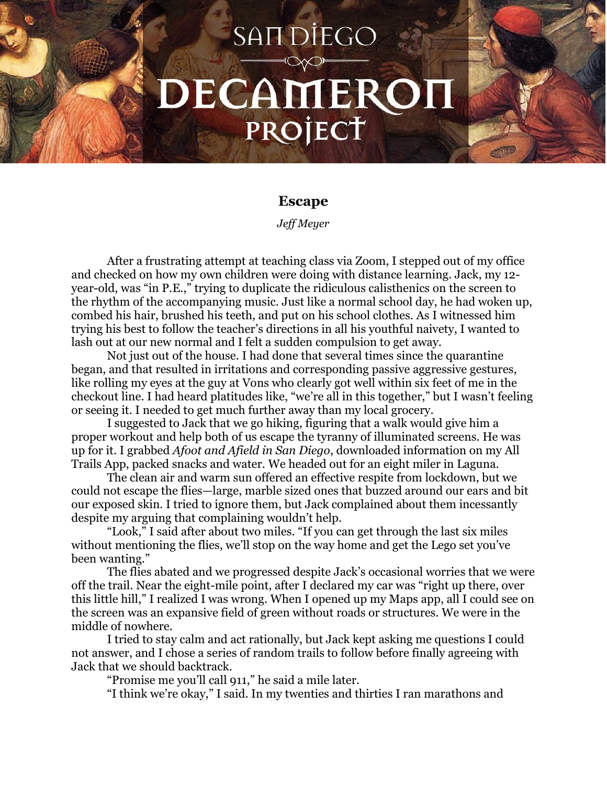## SAIT DIEGO DECAMEROH PROJECT

## **Escape**

*Jeff Meyer*

After a frustrating attempt at teaching class via Zoom, I stepped out of my office and checked on how my own children were doing with distance learning. Jack, my 12 year-old, was "in P.E.," trying to duplicate the ridiculous calisthenics on the screen to the rhythm of the accompanying music. Just like a normal school day, he had woken up, combed his hair, brushed his teeth, and put on his school clothes. As I witnessed him trying his best to follow the teacher's directions in all his youthful naivety, I wanted to lash out at our new normal and I felt a sudden compulsion to get away.

Not just out of the house. I had done that several times since the quarantine began, and that resulted in irritations and corresponding passive aggressive gestures, like rolling my eyes at the guy at Vons who clearly got well within six feet of me in the checkout line. I had heard platitudes like, "we're all in this together," but I wasn't feeling or seeing it. I needed to get much further away than my local grocery.

I suggested to Jack that we go hiking, figuring that a walk would give him a proper workout and help both of us escape the tyranny of illuminated screens. He was up for it. I grabbed *Afoot and Afield in San Diego*, downloaded information on my All Trails App, packed snacks and water. We headed out for an eight miler in Laguna.

The clean air and warm sun offered an effective respite from lockdown, but we could not escape the flies—large, marble sized ones that buzzed around our ears and bit our exposed skin. I tried to ignore them, but Jack complained about them incessantly despite my arguing that complaining wouldn't help.

"Look," I said after about two miles. "If you can get through the last six miles without mentioning the flies, we'll stop on the way home and get the Lego set you've been wanting."

The flies abated and we progressed despite Jack's occasional worries that we were off the trail. Near the eight-mile point, after I declared my car was "right up there, over this little hill," I realized I was wrong. When I opened up my Maps app, all I could see on the screen was an expansive field of green without roads or structures. We were in the middle of nowhere.

I tried to stay calm and act rationally, but Jack kept asking me questions I could not answer, and I chose a series of random trails to follow before finally agreeing with Jack that we should backtrack.

"Promise me you'll call 911," he said a mile later.

"I think we're okay," I said. In my twenties and thirties I ran marathons and